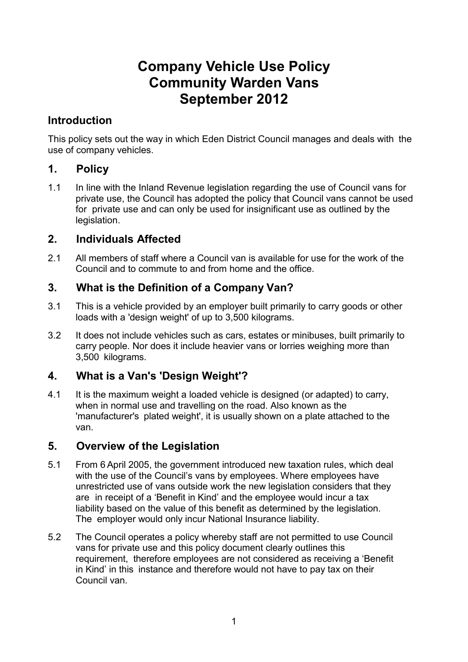# **Company Vehicle Use Policy Community Warden Vans September 2012**

## **Introduction**

This policy sets out the way in which Eden District Council manages and deals with the use of company vehicles.

## **1. Policy**

1.1 In line with the Inland Revenue legislation regarding the use of Council vans for private use, the Council has adopted the policy that Council vans cannot be used for private use and can only be used for insignificant use as outlined by the legislation.

## **2. Individuals Affected**

2.1 All members of staff where a Council van is available for use for the work of the Council and to commute to and from home and the office.

## **3. What is the Definition of a Company Van?**

- 3.1 This is a vehicle provided by an employer built primarily to carry goods or other loads with a 'design weight' of up to 3,500 kilograms.
- 3.2 It does not include vehicles such as cars, estates or minibuses, built primarily to carry people. Nor does it include heavier vans or lorries weighing more than 3,500 kilograms.

# **4. What is a Van's 'Design Weight'?**

4.1 It is the maximum weight a loaded vehicle is designed (or adapted) to carry, when in normal use and travelling on the road. Also known as the 'manufacturer's plated weight', it is usually shown on a plate attached to the van.

### **5. Overview of the Legislation**

- 5.1 From 6 April 2005, the government introduced new taxation rules, which deal with the use of the Council's vans by employees. Where employees have unrestricted use of vans outside work the new legislation considers that they are in receipt of a 'Benefit in Kind' and the employee would incur a tax liability based on the value of this benefit as determined by the legislation. The employer would only incur National Insurance liability.
- 5.2 The Council operates a policy whereby staff are not permitted to use Council vans for private use and this policy document clearly outlines this requirement, therefore employees are not considered as receiving a 'Benefit in Kind' in this instance and therefore would not have to pay tax on their Council van.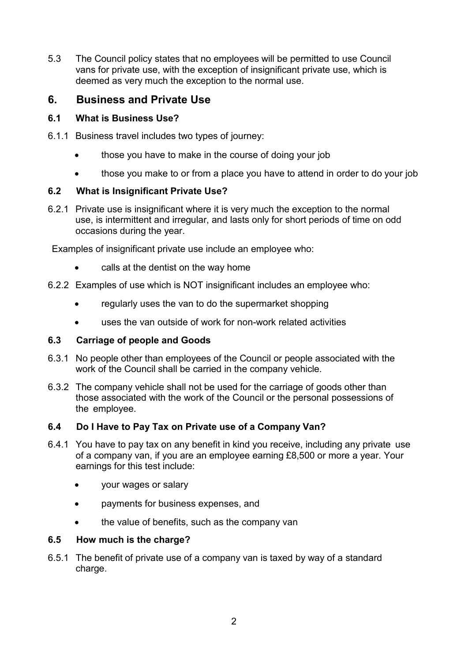5.3 The Council policy states that no employees will be permitted to use Council vans for private use, with the exception of insignificant private use, which is deemed as very much the exception to the normal use.

### **6. Business and Private Use**

#### **6.1 What is Business Use?**

- 6.1.1 Business travel includes two types of journey:
	- those you have to make in the course of doing your job
	- those you make to or from a place you have to attend in order to do your job

#### **6.2 What is Insignificant Private Use?**

6.2.1 Private use is insignificant where it is very much the exception to the normal use, is intermittent and irregular, and lasts only for short periods of time on odd occasions during the year.

Examples of insignificant private use include an employee who:

- calls at the dentist on the way home
- 6.2.2 Examples of use which is NOT insignificant includes an employee who:
	- regularly uses the van to do the supermarket shopping
	- uses the van outside of work for non-work related activities

#### **6.3 Carriage of people and Goods**

- 6.3.1 No people other than employees of the Council or people associated with the work of the Council shall be carried in the company vehicle.
- 6.3.2 The company vehicle shall not be used for the carriage of goods other than those associated with the work of the Council or the personal possessions of the employee.

#### **6.4 Do I Have to Pay Tax on Private use of a Company Van?**

- 6.4.1 You have to pay tax on any benefit in kind you receive, including any private use of a company van, if you are an employee earning £8,500 or more a year. Your earnings for this test include:
	- your wages or salary
	- payments for business expenses, and
	- the value of benefits, such as the company van

#### **6.5 How much is the charge?**

6.5.1 The benefit of private use of a company van is taxed by way of a standard charge.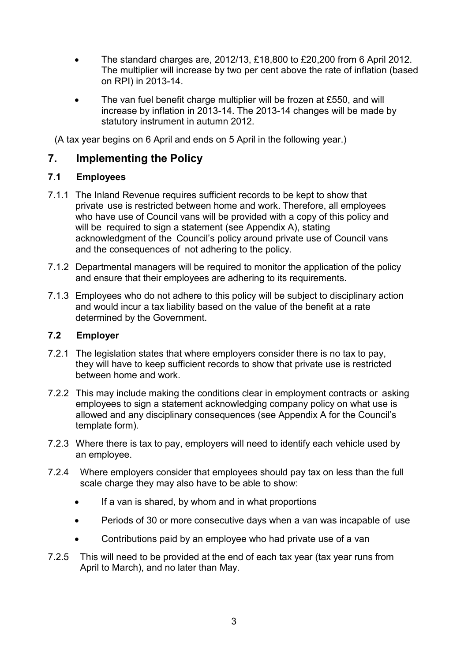- The standard charges are, 2012/13, £18,800 to £20,200 from 6 April 2012. The multiplier will increase by two per cent above the rate of inflation (based on RPI) in 2013-14.
- The van fuel benefit charge multiplier will be frozen at £550, and will increase by inflation in 2013-14. The 2013-14 changes will be made by statutory instrument in autumn 2012.

(A tax year begins on 6 April and ends on 5 April in the following year.)

## **7. Implementing the Policy**

### **7.1 Employees**

- 7.1.1 The Inland Revenue requires sufficient records to be kept to show that private use is restricted between home and work. Therefore, all employees who have use of Council vans will be provided with a copy of this policy and will be required to sign a statement (see Appendix A), stating acknowledgment of the Council's policy around private use of Council vans and the consequences of not adhering to the policy.
- 7.1.2 Departmental managers will be required to monitor the application of the policy and ensure that their employees are adhering to its requirements.
- 7.1.3 Employees who do not adhere to this policy will be subject to disciplinary action and would incur a tax liability based on the value of the benefit at a rate determined by the Government.

#### **7.2 Employer**

- 7.2.1 The legislation states that where employers consider there is no tax to pay, they will have to keep sufficient records to show that private use is restricted between home and work.
- 7.2.2 This may include making the conditions clear in employment contracts or asking employees to sign a statement acknowledging company policy on what use is allowed and any disciplinary consequences (see Appendix A for the Council's template form).
- 7.2.3 Where there is tax to pay, employers will need to identify each vehicle used by an employee.
- 7.2.4 Where employers consider that employees should pay tax on less than the full scale charge they may also have to be able to show:
	- If a van is shared, by whom and in what proportions
	- Periods of 30 or more consecutive days when a van was incapable of use
	- Contributions paid by an employee who had private use of a van
- 7.2.5 This will need to be provided at the end of each tax year (tax year runs from April to March), and no later than May.